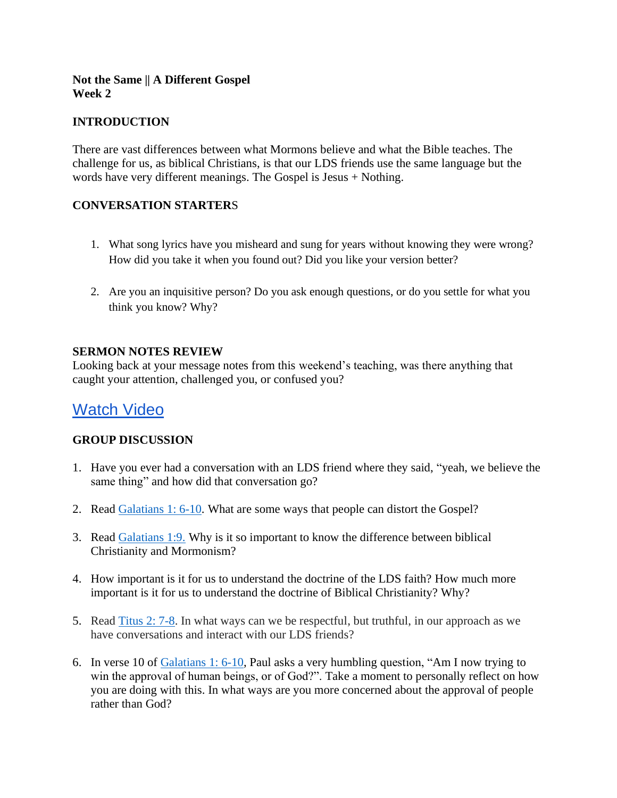### **Not the Same || A Different Gospel Week 2**

# **INTRODUCTION**

There are vast differences between what Mormons believe and what the Bible teaches. The challenge for us, as biblical Christians, is that our LDS friends use the same language but the words have very different meanings. The Gospel is Jesus + Nothing.

### **CONVERSATION STARTER**S

- 1. What song lyrics have you misheard and sung for years without knowing they were wrong? How did you take it when you found out? Did you like your version better?
- 2. Are you an inquisitive person? Do you ask enough questions, or do you settle for what you think you know? Why?

### **SERMON NOTES REVIEW**

Looking back at your message notes from this weekend's teaching, was there anything that caught your attention, challenged you, or confused you?

# [Watch Video](https://youtu.be/OTVXRke0_rk)

## **GROUP DISCUSSION**

- 1. Have you ever had a conversation with an LDS friend where they said, "yeah, we believe the same thing" and how did that conversation go?
- 2. Read [Galatians 1: 6-10.](https://www.biblegateway.com/passage/?search=Galatians+1%3A+6-10&version=NIV) What are some ways that people can distort the Gospel?
- 3. Read [Galatians 1:9.](https://www.biblegateway.com/passage/?search=Galatians+1%3A9&version=NIV) Why is it so important to know the difference between biblical Christianity and Mormonism?
- 4. How important is it for us to understand the doctrine of the LDS faith? How much more important is it for us to understand the doctrine of Biblical Christianity? Why?
- 5. Read [Titus 2: 7-8.](https://www.biblegateway.com/passage/?search=Titus+2%3A+7-8&version=NIV) In what ways can we be respectful, but truthful, in our approach as we have conversations and interact with our LDS friends?
- 6. In verse 10 of [Galatians 1: 6-10,](https://www.biblegateway.com/passage/?search=Galatians+1%3A+6-10&version=NIV) Paul asks a very humbling question, "Am I now trying to win the approval of human beings, or of God?". Take a moment to personally reflect on how you are doing with this. In what ways are you more concerned about the approval of people rather than God?